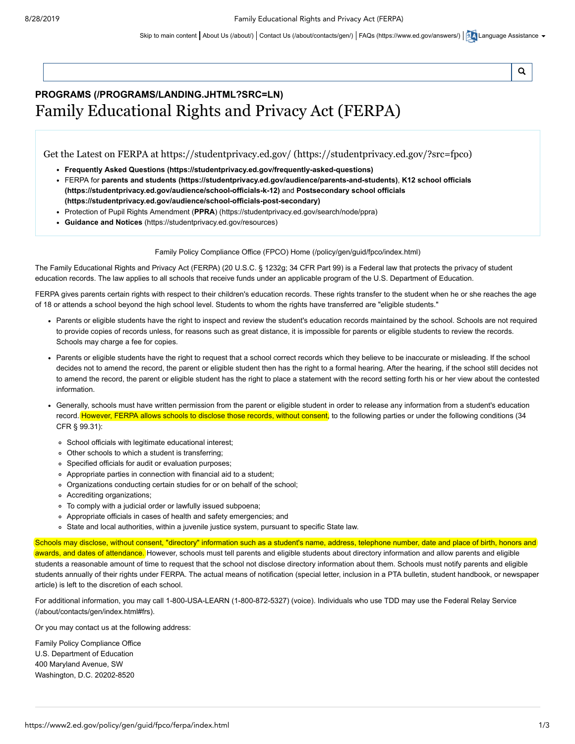Skip to main [content](#page-0-0) | About Us [\(/about/\)](https://www2.ed.gov/about/) | Contact Us [\(/about/contacts/gen/\)](https://www2.ed.gov/about/contacts/gen/) | FAQs [\(https://www.ed.gov/answers/\)](https://www.ed.gov/answers/) | A | Language Assistance  $\rightarrow$ 

Q

## <span id="page-0-0"></span>**[PROGRAMS \(/PROGRAMS/LANDING.JHTML?SRC=LN\)](https://www2.ed.gov/programs/landing.jhtml?src=ln)** [Family Educational Rights and Privacy Act \(FERPA\)](https://www2.ed.gov/policy/gen/guid/fpco/ferpa/index.html)

[Get the Latest on FERPA at https://studentprivacy.ed.gov/ \(https://studentprivacy.ed.gov/?src=fpco\)](https://studentprivacy.ed.gov/?src=fpco)

- **[Frequently Asked Questions \(https://studentprivacy.ed.gov/frequently-asked-questions\)](https://studentprivacy.ed.gov/frequently-asked-questions)**
- FERPA for **[parents and students \(https://studentprivacy.ed.gov/audience/parents-and-students\)](https://studentprivacy.ed.gov/audience/parents-and-students)**, **K12 school officials (https://studentprivacy.ed.gov/audience/school-officials-k-12)** and **Postsecondary school officials [\(https://studentprivacy.ed.gov/audience/school-officials-post-secondary\)](https://studentprivacy.ed.gov/audience/school-officials-post-secondary)**
- Protection of Pupil Rights Amendment (**PPRA**[\) \(https://studentprivacy.ed.gov/search/node/ppra\)](https://studentprivacy.ed.gov/search/node/ppra)
- **Guidance and Notices** [\(https://studentprivacy.ed.gov/resources\)](https://studentprivacy.ed.gov/resources)

[Family Policy Compliance Office \(FPCO\) Home \(/policy/gen/guid/fpco/index.html\)](https://www2.ed.gov/policy/gen/guid/fpco/index.html)

The Family Educational Rights and Privacy Act (FERPA) (20 U.S.C. § 1232g; 34 CFR Part 99) is a Federal law that protects the privacy of student education records. The law applies to all schools that receive funds under an applicable program of the U.S. Department of Education.

FERPA gives parents certain rights with respect to their children's education records. These rights transfer to the student when he or she reaches the age of 18 or attends a school beyond the high school level. Students to whom the rights have transferred are "eligible students."

- Parents or eligible students have the right to inspect and review the student's education records maintained by the school. Schools are not required to provide copies of records unless, for reasons such as great distance, it is impossible for parents or eligible students to review the records. Schools may charge a fee for copies.
- Parents or eligible students have the right to request that a school correct records which they believe to be inaccurate or misleading. If the school decides not to amend the record, the parent or eligible student then has the right to a formal hearing. After the hearing, if the school still decides not to amend the record, the parent or eligible student has the right to place a statement with the record setting forth his or her view about the contested information.
- Generally, schools must have written permission from the parent or eligible student in order to release any information from a student's education record. However, FERPA allows schools to disclose those records, without consent, to the following parties or under the following conditions (34 CFR § 99.31):
	- School officials with legitimate educational interest;
	- Other schools to which a student is transferring;
	- Specified officials for audit or evaluation purposes;
	- Appropriate parties in connection with financial aid to a student;
	- Organizations conducting certain studies for or on behalf of the school;
	- Accrediting organizations;
	- To comply with a judicial order or lawfully issued subpoena;
	- Appropriate officials in cases of health and safety emergencies; and
	- State and local authorities, within a juvenile justice system, pursuant to specific State law.

Schools may disclose, without consent, "directory" information such as a student's name, address, telephone number, date and place of birth, honors and awards, and dates of attendance. However, schools must tell parents and eligible students about directory information and allow parents and eligible students a reasonable amount of time to request that the school not disclose directory information about them. Schools must notify parents and eligible students annually of their rights under FERPA. The actual means of notification (special letter, inclusion in a PTA bulletin, student handbook, or newspaper article) is left to the discretion of each school.

[For additional information, you may call 1-800-USA-LEARN \(1-800-872-5327\) \(voice\). Individuals who use TDD may use the Federal Relay Service](https://www2.ed.gov/about/contacts/gen/index.html#frs) (/about/contacts/gen/index.html#frs).

Or you may contact us at the following address:

Family Policy Compliance Office U.S. Department of Education 400 Maryland Avenue, SW Washington, D.C. 20202-8520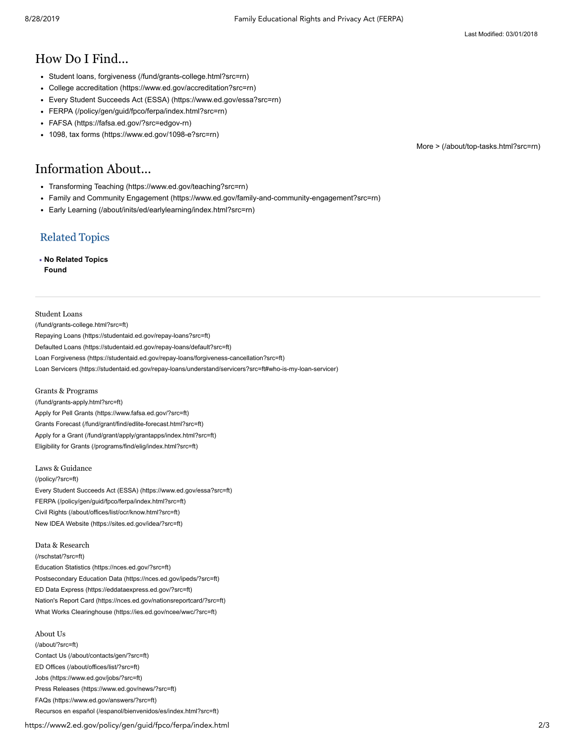## How Do I Find...

- [Student loans, forgiveness \(/fund/grants-college.html?src=rn\)](https://www2.ed.gov/fund/grants-college.html?src=rn)
- [College accreditation \(https://www.ed.gov/accreditation?src=rn\)](https://www.ed.gov/accreditation?src=rn)
- [Every Student Succeeds Act \(ESSA\) \(https://www.ed.gov/essa?src=rn\)](https://www.ed.gov/essa?src=rn)
- [FERPA \(/policy/gen/guid/fpco/ferpa/index.html?src=rn\)](https://www2.ed.gov/policy/gen/guid/fpco/ferpa/index.html?src=rn)
- [FAFSA \(https://fafsa.ed.gov/?src=edgov-rn\)](https://fafsa.ed.gov/?src=edgov-rn)
- [1098, tax forms \(https://www.ed.gov/1098-e?src=rn\)](https://www.ed.gov/1098-e?src=rn)

[More > \(/about/top-tasks.html?src=rn\)](https://www2.ed.gov/about/top-tasks.html?src=rn)

## Information About...

- [Transforming Teaching \(https://www.ed.gov/teaching?src=rn\)](https://www.ed.gov/teaching?src=rn)
- [Family and Community Engagement \(https://www.ed.gov/family-and-community-engagement?src=rn\)](https://www.ed.gov/family-and-community-engagement?src=rn)
- [Early Learning \(/about/inits/ed/earlylearning/index.html?src=rn\)](https://www2.ed.gov/about/inits/ed/earlylearning/index.html?src=rn)

## **Related Topics**

**No Related Topics Found**

Student Loans [\(/fund/grants-college.html?src=ft\)](https://www2.ed.gov/fund/grants-college.html?src=ft) [Repaying Loans \(https://studentaid.ed.gov/repay-loans?src=ft\)](https://studentaid.ed.gov/repay-loans?src=ft) [Defaulted Loans \(https://studentaid.ed.gov/repay-loans/default?src=ft\)](https://studentaid.ed.gov/repay-loans/default?src=ft) [Loan Forgiveness \(https://studentaid.ed.gov/repay-loans/forgiveness-cancellation?src=ft\)](https://studentaid.ed.gov/repay-loans/forgiveness-cancellation?src=ft)

[Loan Servicers \(https://studentaid.ed.gov/repay-loans/understand/servicers?src=ft#who-is-my-loan-servicer\)](https://studentaid.ed.gov/repay-loans/understand/servicers?src=ft#who-is-my-loan-servicer)

### Grants & Programs [\(/fund/grants-apply.html?src=ft\)](https://www2.ed.gov/fund/grants-apply.html?src=ft) [Apply for Pell Grants \(https://www.fafsa.ed.gov/?src=ft\)](https://www.fafsa.ed.gov/?src=ft) [Grants Forecast \(/fund/grant/find/edlite-forecast.html?src=ft\)](https://www2.ed.gov/fund/grant/find/edlite-forecast.html?src=ft) [Apply for a Grant \(/fund/grant/apply/grantapps/index.html?src=ft\)](https://www2.ed.gov/fund/grant/apply/grantapps/index.html?src=ft)

[Eligibility for Grants \(/programs/find/elig/index.html?src=ft\)](https://www2.ed.gov/programs/find/elig/index.html?src=ft)

#### [Laws & Guidance](https://www2.ed.gov/policy/?src=ft)

(/policy/?src=ft)

[Every Student Succeeds Act \(ESSA\) \(https://www.ed.gov/essa?src=ft\)](https://www.ed.gov/essa?src=ft) [FERPA \(/policy/gen/guid/fpco/ferpa/index.html?src=ft\)](https://www2.ed.gov/policy/gen/guid/fpco/ferpa/index.html?src=ft) [Civil Rights \(/about/offices/list/ocr/know.html?src=ft\)](https://www2.ed.gov/about/offices/list/ocr/know.html?src=ft) [New IDEA Website \(https://sites.ed.gov/idea/?src=ft\)](https://sites.ed.gov/idea/?src=ft)

#### [Data & Research](https://www2.ed.gov/rschstat/?src=ft)

(/rschstat/?src=ft)

[Education Statistics \(https://nces.ed.gov/?src=ft\)](https://nces.ed.gov/?src=ft) [Postsecondary Education Data \(https://nces.ed.gov/ipeds/?src=ft\)](https://nces.ed.gov/ipeds/?src=ft) [ED Data Express \(https://eddataexpress.ed.gov/?src=ft\)](https://eddataexpress.ed.gov/?src=ft) [Nation's Report Card \(https://nces.ed.gov/nationsreportcard/?src=ft\)](https://nces.ed.gov/nationsreportcard/?src=ft) [What Works Clearinghouse \(https://ies.ed.gov/ncee/wwc/?src=ft\)](https://ies.ed.gov/ncee/wwc/?src=ft)

#### About Us

[\(/about/?src=ft\)](https://www2.ed.gov/about/?src=ft) [Contact Us \(/about/contacts/gen/?src=ft\)](https://www2.ed.gov/about/contacts/gen/?src=ft) [ED Offices \(/about/offices/list/?src=ft\)](https://www2.ed.gov/about/offices/list/?src=ft) [Jobs \(https://www.ed.gov/jobs/?src=ft\)](https://www.ed.gov/jobs/?src=ft) [Press Releases \(https://www.ed.gov/news/?src=ft\)](https://www.ed.gov/news/?src=ft) [FAQs \(https://www.ed.gov/answers/?src=ft\)](https://www.ed.gov/answers/?src=ft) [Recursos en español \(/espanol/bienvenidos/es/index.html?src=ft\)](https://www2.ed.gov/espanol/bienvenidos/es/index.html?src=ft)

https://www2.ed.gov/policy/gen/guid/fpco/ferpa/index.html 2/3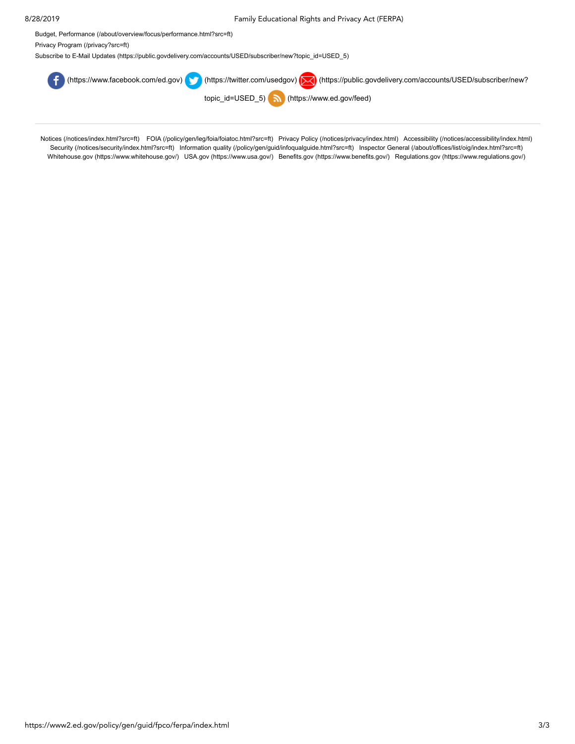8/28/2019 Family Educational Rights and Privacy Act (FERPA)

[Budget, Performance \(/about/overview/focus/performance.html?src=ft\)](https://www2.ed.gov/about/overview/focus/performance.html?src=ft)

[Privacy Program \(/privacy?src=ft\)](https://www2.ed.gov/privacy?src=ft)

[Subscribe to E-Mail Updates \(https://public.govdelivery.com/accounts/USED/subscriber/new?topic\\_id=USED\\_5\)](https://public.govdelivery.com/accounts/USED/subscriber/new?topic_id=USED_5)

(https://www.facebook.com/ed.gov) [\(https://twitter.com/usedgov\)](https://twitter.com/usedgov) (M) [\(https://public.govdelivery.com/accounts/USED/subscriber/new?](https://public.govdelivery.com/accounts/USED/subscriber/new?topic_id=USED_5) f topic\_id=USED\_5) [\(https://www.ed.gov/feed\)](https://www.ed.gov/feed)

[Notices \(/notices/index.html?src=ft\)](https://www2.ed.gov/notices/index.html?src=ft) [FOIA \(/policy/gen/leg/foia/foiatoc.html?src=ft\)](https://www2.ed.gov/policy/gen/leg/foia/foiatoc.html?src=ft) [Privacy Policy \(/notices/privacy/index.html\)](https://www2.ed.gov/notices/privacy/index.html) [Accessibility \(/notices/accessibility/index.html\)](https://www2.ed.gov/notices/accessibility/index.html) [Security \(/notices/security/index.html?src=ft\)](https://www2.ed.gov/notices/security/index.html?src=ft) [Information quality \(/policy/gen/guid/infoqualguide.html?src=ft\)](https://www2.ed.gov/policy/gen/guid/infoqualguide.html?src=ft) [Inspector General \(/about/offices/list/oig/index.html?src=ft\)](https://www2.ed.gov/about/offices/list/oig/index.html?src=ft) [Whitehouse.gov \(https://www.whitehouse.gov/\)](https://www.whitehouse.gov/) [USA.gov \(https://www.usa.gov/\)](https://www.usa.gov/) [Benefits.gov \(https://www.benefits.gov/\)](https://www.benefits.gov/) [Regulations.gov \(https://www.regulations.gov/\)](https://www.regulations.gov/)